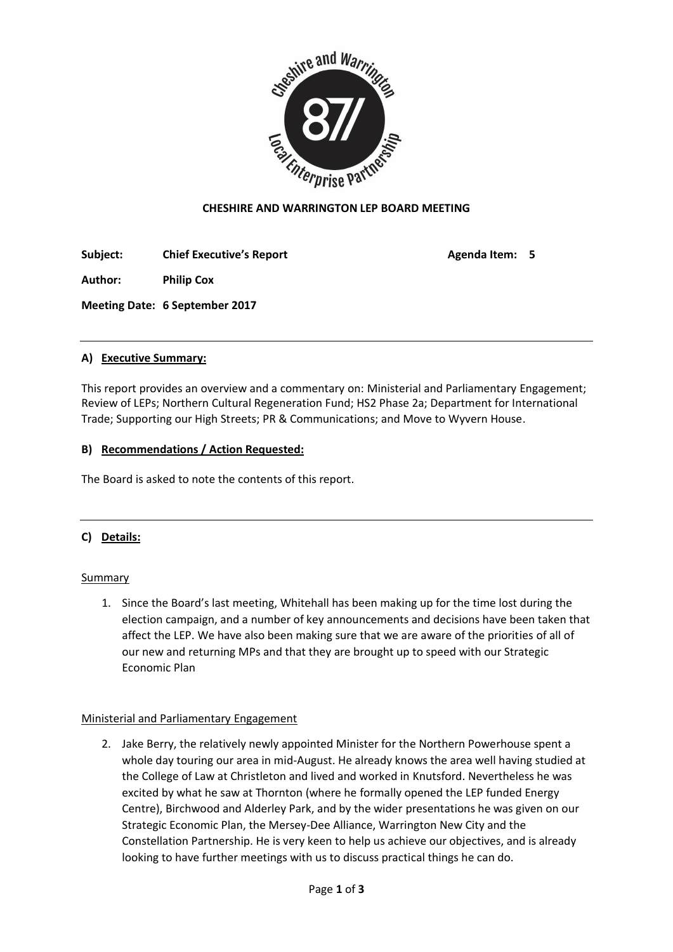

## **CHESHIRE AND WARRINGTON LEP BOARD MEETING**

**Subject: Chief Executive's Report Agenda Item: 5**

**Author: Philip Cox**

**Meeting Date: 6 September 2017**

# **A) Executive Summary:**

This report provides an overview and a commentary on: Ministerial and Parliamentary Engagement; Review of LEPs; Northern Cultural Regeneration Fund; HS2 Phase 2a; Department for International Trade; Supporting our High Streets; PR & Communications; and Move to Wyvern House.

## **B) Recommendations / Action Requested:**

The Board is asked to note the contents of this report.

# **C) Details:**

## **Summary**

1. Since the Board's last meeting, Whitehall has been making up for the time lost during the election campaign, and a number of key announcements and decisions have been taken that affect the LEP. We have also been making sure that we are aware of the priorities of all of our new and returning MPs and that they are brought up to speed with our Strategic Economic Plan

## Ministerial and Parliamentary Engagement

2. Jake Berry, the relatively newly appointed Minister for the Northern Powerhouse spent a whole day touring our area in mid-August. He already knows the area well having studied at the College of Law at Christleton and lived and worked in Knutsford. Nevertheless he was excited by what he saw at Thornton (where he formally opened the LEP funded Energy Centre), Birchwood and Alderley Park, and by the wider presentations he was given on our Strategic Economic Plan, the Mersey-Dee Alliance, Warrington New City and the Constellation Partnership. He is very keen to help us achieve our objectives, and is already looking to have further meetings with us to discuss practical things he can do.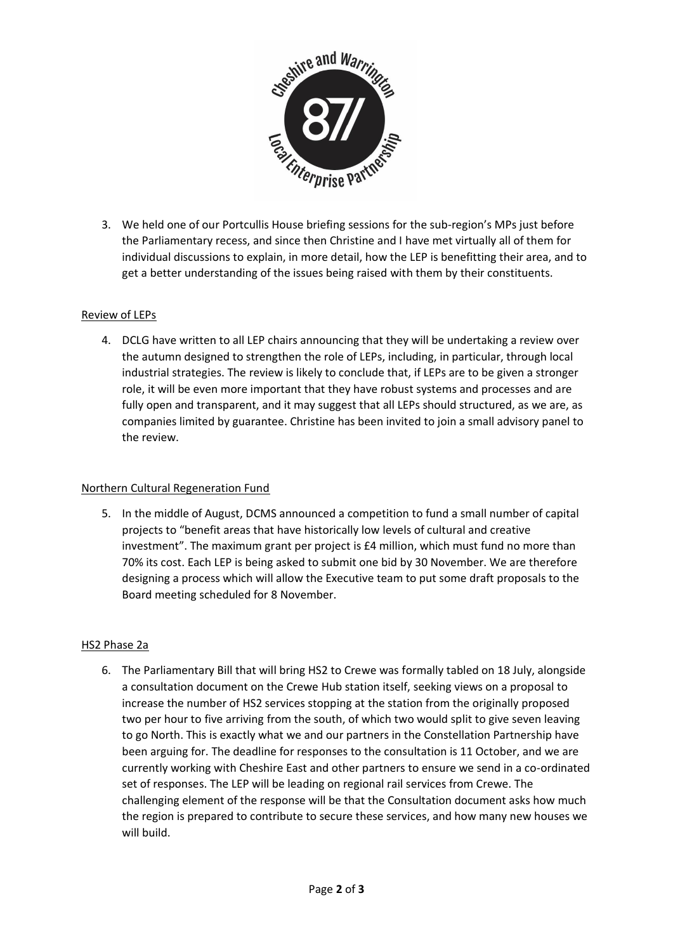

3. We held one of our Portcullis House briefing sessions for the sub-region's MPs just before the Parliamentary recess, and since then Christine and I have met virtually all of them for individual discussions to explain, in more detail, how the LEP is benefitting their area, and to get a better understanding of the issues being raised with them by their constituents.

### Review of LEPs

4. DCLG have written to all LEP chairs announcing that they will be undertaking a review over the autumn designed to strengthen the role of LEPs, including, in particular, through local industrial strategies. The review is likely to conclude that, if LEPs are to be given a stronger role, it will be even more important that they have robust systems and processes and are fully open and transparent, and it may suggest that all LEPs should structured, as we are, as companies limited by guarantee. Christine has been invited to join a small advisory panel to the review.

#### Northern Cultural Regeneration Fund

5. In the middle of August, DCMS announced a competition to fund a small number of capital projects to "benefit areas that have historically low levels of cultural and creative investment". The maximum grant per project is £4 million, which must fund no more than 70% its cost. Each LEP is being asked to submit one bid by 30 November. We are therefore designing a process which will allow the Executive team to put some draft proposals to the Board meeting scheduled for 8 November.

#### HS2 Phase 2a

6. The Parliamentary Bill that will bring HS2 to Crewe was formally tabled on 18 July, alongside a consultation document on the Crewe Hub station itself, seeking views on a proposal to increase the number of HS2 services stopping at the station from the originally proposed two per hour to five arriving from the south, of which two would split to give seven leaving to go North. This is exactly what we and our partners in the Constellation Partnership have been arguing for. The deadline for responses to the consultation is 11 October, and we are currently working with Cheshire East and other partners to ensure we send in a co-ordinated set of responses. The LEP will be leading on regional rail services from Crewe. The challenging element of the response will be that the Consultation document asks how much the region is prepared to contribute to secure these services, and how many new houses we will build.